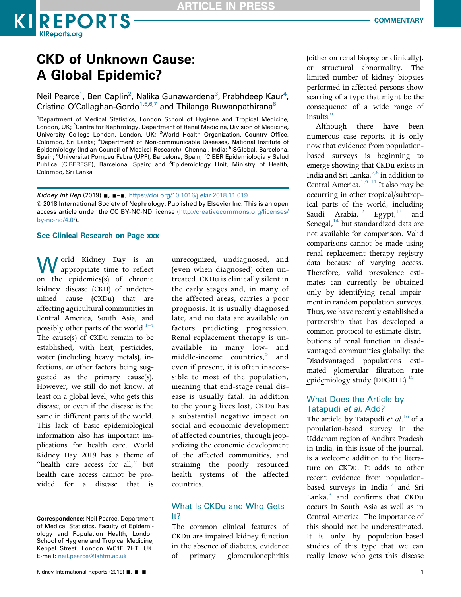

**KIREPORTS** 

Neil Pearce<sup>1</sup>, Ben Caplin<sup>2</sup>, Nalika Gunawardena<sup>3</sup>, Prabhdeep Kaur<sup>4</sup>, Cristina O'Callaghan-Gordo<sup>1,5,6,7</sup> and Thilanga Ruwanpathirana<sup>8</sup>

<sup>1</sup>Department of Medical Statistics, London School of Hygiene and Tropical Medicine, London, UK; <sup>2</sup>Centre for Nephrology, Department of Renal Medicine, Division of Medicine, University College London, London, UK; <sup>3</sup>World Health Organization, Country Office, Colombo, Sri Lanka; <sup>4</sup>Department of Non-communicable Diseases, National Institute of Epidemiology (Indian Council of Medical Research), Chennai, India; <sup>5</sup>ISGlobal, Barcelona, Spain; <sup>6</sup>Universitat Pompeu Fabra (UPF), Barcelona, Spain; <sup>7</sup>CIBER Epidemiologia y Salud Publica (CIBERESP), Barcelona, Spain; and <sup>8</sup>Epidemiology Unit, Ministry of Health, Colombo, Sri Lanka

Kidney Int Rep (2019) ■, ■-■; <https://doi.org/10.1016/j.ekir.2018.11.019> © 2018 International Society of Nephrology. Published by Elsevier Inc. This is an open access article under the CC BY-NC-ND license ([http://creativecommons.org/licenses/](http://creativecommons.org/licenses/by-nc-nd/4.0/) [by-nc-nd/4.0/\)](http://creativecommons.org/licenses/by-nc-nd/4.0/).

#### See Clinical Research on Page xxx

I orld Kidney Day is an appropriate time to reflect on the epidemics(s) of chronic kidney disease (CKD) of undetermined cause (CKDu) that are affecting agricultural communities in Central America, South Asia, a[nd](#page-2-0) possibly other parts of the world. $1-4$ The cause(s) of CKDu remain to be established, with heat, pesticides, water (including heavy metals), infections, or other factors being suggested as the primary cause(s). However, we still do not know, at least on a global level, who gets this disease, or even if the disease is the same in different parts of the world. This lack of basic epidemiological information also has important implications for health care. World Kidney Day 2019 has a theme of "health care access for all," but health care access cannot be provided for a disease that is unrecognized, undiagnosed, and (even when diagnosed) often untreated. CKDu is clinically silent in the early stages and, in many of the affected areas, carries a poor prognosis. It is usually diagnosed late, and no data are available on factors predicting progression. Renal replacement therapy is unavailable in many low- and middle-income countries,<sup>[5](#page-2-0)</sup> and even if present, it is often inaccessible to most of the population, meaning that end-stage renal disease is usually fatal. In addition to the young lives lost, CKDu has a substantial negative impact on social and economic development of affected countries, through jeopardizing the economic development of the affected communities, and straining the poorly resourced health systems of the affected countries.

## What Is CKDu and Who Gets It?

The common clinical features of CKDu are impaired kidney function in the absence of diabetes, evidence of primary glomerulonephritis

(either on renal biopsy or clinically), or structural abnormality. The limited number of kidney biopsies performed in affected persons show scarring of a type that might be the consequence of a wide range of insults.<sup>[6](#page-2-0)</sup>

Although there have been numerous case reports, it is only now that evidence from populationbased surveys is beginning to emerge showing that CKDu exists in India and Sri Lanka, $^{7,8}$  in addition to Central America. $1,9-11$  It also may be occurring in other tropical/subtropical parts of the world, including Saudi Arabia, $12$  Egypt, $13$  and Senegal, $14$  but standardized data are not available for comparison. Valid comparisons cannot be made using renal replacement therapy registry data because of varying access. Therefore, valid prevalence estimates can currently be obtained only by identifying renal impairment in random population surveys. Thus, we have recently established a partnership that has developed a common protocol to estimate distributions of renal function in disadvantaged communities globally: the Disadvantaged populations estimated glomerular filtration rate epidemiology study (DEGREE).<sup>15</sup>

## What Does the Article by Tatapudi et al. Add?

The article by Tatapudi et  $al.^{16}$  $al.^{16}$  $al.^{16}$  of a population-based survey in the Uddanam region of Andhra Pradesh in India, in this issue of the journal, is a welcome addition to the literature on CKDu. It adds to other recent evidence from populationbased surveys in India<sup>17</sup> and Sri Lanka,<sup>8</sup> and confirms that CKDu occurs in South Asia as well as in Central America. The importance of this should not be underestimated. It is only by population-based studies of this type that we can really know who gets this disease

Correspondence: Neil Pearce, Department of Medical Statistics, Faculty of Epidemiology and Population Health, London School of Hygiene and Tropical Medicine, Keppel Street, London WC1E 7HT, UK. E-mail: [neil.pearce@lshtm.ac.uk](mailto:neil.pearce@lshtm.ac.uk)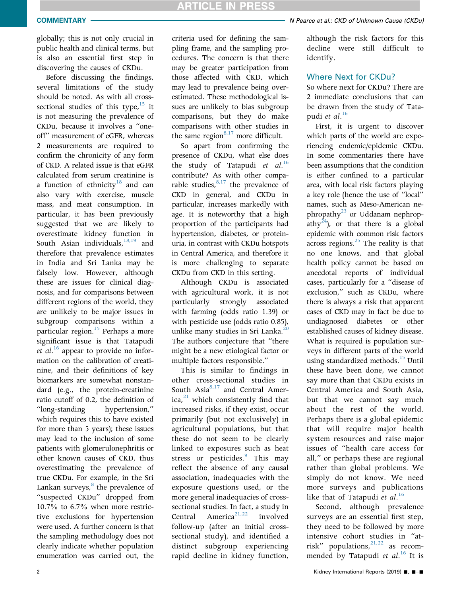globally; this is not only crucial in public health and clinical terms, but is also an essential first step in discovering the causes of CKDu.

Before discussing the findings, several limitations of the study should be noted. As with all crosssectional studies of this type, $15$  it is not measuring the prevalence of CKDu, because it involves a "oneoff" measurement of eGFR, whereas 2 measurements are required to confirm the chronicity of any form of CKD. A related issue is that eGFR calculated from serum creatinine is a function of ethnicity<sup>18</sup> and can also vary with exercise, muscle mass, and meat consumption. In particular, it has been previously suggested that we are likely to overestimate kidney function in South Asian individuals, $18,19$  and therefore that prevalence estimates in India and Sri Lanka may be falsely low. However, although these are issues for clinical diagnosis, and for comparisons between different regions of the world, they are unlikely to be major issues in subgroup comparisons within a particular region.<sup>[15](#page-2-0)</sup> Perhaps a more significant issue is that Tatapudi et al.<sup>[16](#page-2-0)</sup> appear to provide no information on the calibration of creatinine, and their definitions of key biomarkers are somewhat nonstandard (e.g., the protein-creatinine ratio cutoff of 0.2, the definition of "long-standing hypertension," which requires this to have existed for more than 5 years); these issues may lead to the inclusion of some patients with glomerulonephritis or other known causes of CKD, thus overestimating the prevalence of true CKDu. For example, in the Sri Lankan surveys, $\delta$  the prevalence of "suspected CKDu" dropped from 10.7% to 6.7% when more restrictive exclusions for hypertension were used. A further concern is that the sampling methodology does not clearly indicate whether population enumeration was carried out, the

criteria used for defining the sampling frame, and the sampling procedures. The concern is that there may be greater participation from those affected with CKD, which may lead to prevalence being overestimated. These methodological issues are unlikely to bias subgroup comparisons, but they do make comparisons with other studies in the same region $8.17$  more difficult.

So apart from confirming the presence of CKDu, what else does the study of Tatapudi et  $al.^{16}$  $al.^{16}$  $al.^{16}$ contribute? As with other comparable studies, $8,17$  the prevalence of CKD in general, and CKDu in particular, increases markedly with age. It is noteworthy that a high proportion of the participants had hypertension, diabetes, or proteinuria, in contrast with CKDu hotspots in Central America, and therefore it is more challenging to separate CKDu from CKD in this setting.

Although CKDu is associated with agricultural work, it is not particularly strongly associated with farming (odds ratio 1.39) or with pesticide use (odds ratio 0.85), unlike many studies in Sri Lanka.<sup>20</sup> The authors conjecture that "there might be a new etiological factor or multiple factors responsible."

This is similar to findings in other cross-sectional studies in South Asia<sup>[8,17](#page-2-0)</sup> and Central Amer- $ica<sub>i</sub><sup>21</sup>$  $ica<sub>i</sub><sup>21</sup>$  $ica<sub>i</sub><sup>21</sup>$  which consistently find that increased risks, if they exist, occur primarily (but not exclusively) in agricultural populations, but that these do not seem to be clearly linked to exposures such as heat stress or pesticides. $9$  This may reflect the absence of any causal association, inadequacies with the exposure questions used, or the more general inadequacies of crosssectional studies. In fact, a study in Central America<sup>[21,22](#page-2-0)</sup> involved follow-up (after an initial crosssectional study), and identified a distinct subgroup experiencing rapid decline in kidney function,

although the risk factors for this decline were still difficult to identify.

# Where Next for CKDu?

So where next for CKDu? There are 2 immediate conclusions that can be drawn from the study of Tatapudi et al. $^{16}$  $^{16}$  $^{16}$ 

First, it is urgent to discover which parts of the world are experiencing endemic/epidemic CKDu. In some commentaries there have been assumptions that the condition is either confined to a particular area, with local risk factors playing a key role (hence the use of "local" names, such as Meso-American nephropathy<sup>23</sup> or Uddanam nephrop-athy<sup>[24](#page-2-0)</sup>), or that there is a global epidemic with common risk factors across regions. $^{25}$  The reality is that no one knows, and that global health policy cannot be based on anecdotal reports of individual cases, particularly for a "disease of exclusion," such as CKDu, where there is always a risk that apparent cases of CKD may in fact be due to undiagnosed diabetes or other established causes of kidney disease. What is required is population surveys in different parts of the world using standardized methods.<sup>[15](#page-2-0)</sup> Until these have been done, we cannot say more than that CKDu exists in Central America and South Asia, but that we cannot say much about the rest of the world. Perhaps there is a global epidemic that will require major health system resources and raise major issues of "health care access for all," or perhaps these are regional rather than global problems. We simply do not know. We need more surveys and publications like that of Tatapudi et  $al.^{16}$  $al.^{16}$  $al.^{16}$ 

Second, although prevalence surveys are an essential first step, they need to be followed by more intensive cohort studies in "atrisk" populations, $2^{1,22}$  as recommended by Tatapudi et  $al.^{16}$  $al.^{16}$  $al.^{16}$  It is